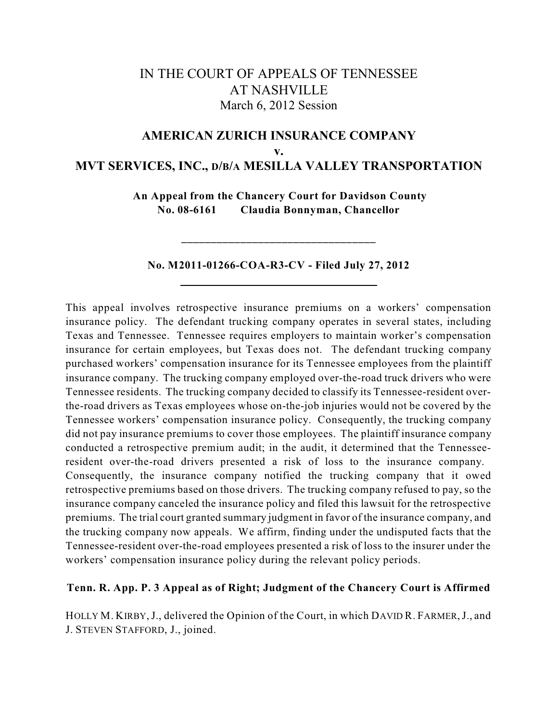# IN THE COURT OF APPEALS OF TENNESSEE AT NASHVILLE March 6, 2012 Session

# **AMERICAN ZURICH INSURANCE COMPANY v. MVT SERVICES, INC., D/B/A MESILLA VALLEY TRANSPORTATION**

**An Appeal from the Chancery Court for Davidson County No. 08-6161 Claudia Bonnyman, Chancellor**

## **No. M2011-01266-COA-R3-CV - Filed July 27, 2012**

**\_\_\_\_\_\_\_\_\_\_\_\_\_\_\_\_\_\_\_\_\_\_\_\_\_\_\_\_\_\_\_\_\_**

This appeal involves retrospective insurance premiums on a workers' compensation insurance policy. The defendant trucking company operates in several states, including Texas and Tennessee. Tennessee requires employers to maintain worker's compensation insurance for certain employees, but Texas does not. The defendant trucking company purchased workers' compensation insurance for its Tennessee employees from the plaintiff insurance company. The trucking company employed over-the-road truck drivers who were Tennessee residents. The trucking company decided to classify its Tennessee-resident overthe-road drivers as Texas employees whose on-the-job injuries would not be covered by the Tennessee workers' compensation insurance policy. Consequently, the trucking company did not pay insurance premiums to cover those employees. The plaintiff insurance company conducted a retrospective premium audit; in the audit, it determined that the Tennesseeresident over-the-road drivers presented a risk of loss to the insurance company. Consequently, the insurance company notified the trucking company that it owed retrospective premiums based on those drivers. The trucking company refused to pay, so the insurance company canceled the insurance policy and filed this lawsuit for the retrospective premiums. The trial court granted summary judgment in favor of the insurance company, and the trucking company now appeals. We affirm, finding under the undisputed facts that the Tennessee-resident over-the-road employees presented a risk of loss to the insurer under the workers' compensation insurance policy during the relevant policy periods.

## **Tenn. R. App. P. 3 Appeal as of Right; Judgment of the Chancery Court is Affirmed**

HOLLY M. KIRBY,J., delivered the Opinion of the Court, in which DAVID R. FARMER,J., and J. STEVEN STAFFORD, J., joined.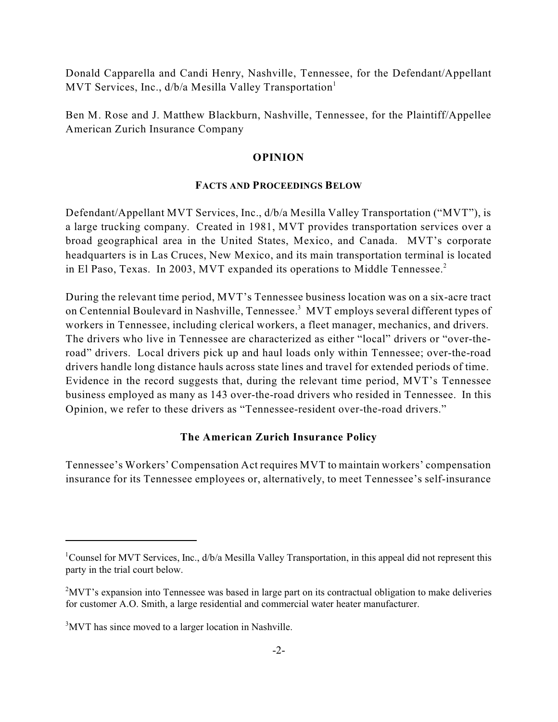Donald Capparella and Candi Henry, Nashville, Tennessee, for the Defendant/Appellant MVT Services, Inc., d/b/a Mesilla Valley Transportation<sup>1</sup>

Ben M. Rose and J. Matthew Blackburn, Nashville, Tennessee, for the Plaintiff/Appellee American Zurich Insurance Company

### **OPINION**

#### **FACTS AND PROCEEDINGS BELOW**

Defendant/Appellant MVT Services, Inc., d/b/a Mesilla Valley Transportation ("MVT"), is a large trucking company. Created in 1981, MVT provides transportation services over a broad geographical area in the United States, Mexico, and Canada. MVT's corporate headquarters is in Las Cruces, New Mexico, and its main transportation terminal is located in El Paso, Texas. In 2003, MVT expanded its operations to Middle Tennessee. 2

During the relevant time period, MVT's Tennessee business location was on a six-acre tract on Centennial Boulevard in Nashville, Tennessee.<sup>3</sup> MVT employs several different types of workers in Tennessee, including clerical workers, a fleet manager, mechanics, and drivers. The drivers who live in Tennessee are characterized as either "local" drivers or "over-theroad" drivers. Local drivers pick up and haul loads only within Tennessee; over-the-road drivers handle long distance hauls across state lines and travel for extended periods of time. Evidence in the record suggests that, during the relevant time period, MVT's Tennessee business employed as many as 143 over-the-road drivers who resided in Tennessee. In this Opinion, we refer to these drivers as "Tennessee-resident over-the-road drivers."

#### **The American Zurich Insurance Policy**

Tennessee's Workers' Compensation Act requires MVT to maintain workers' compensation insurance for its Tennessee employees or, alternatively, to meet Tennessee's self-insurance

<sup>&</sup>lt;sup>1</sup>Counsel for MVT Services, Inc., d/b/a Mesilla Valley Transportation, in this appeal did not represent this party in the trial court below.

 $\rm MVT$ 's expansion into Tennessee was based in large part on its contractual obligation to make deliveries for customer A.O. Smith, a large residential and commercial water heater manufacturer.

 $3$ MVT has since moved to a larger location in Nashville.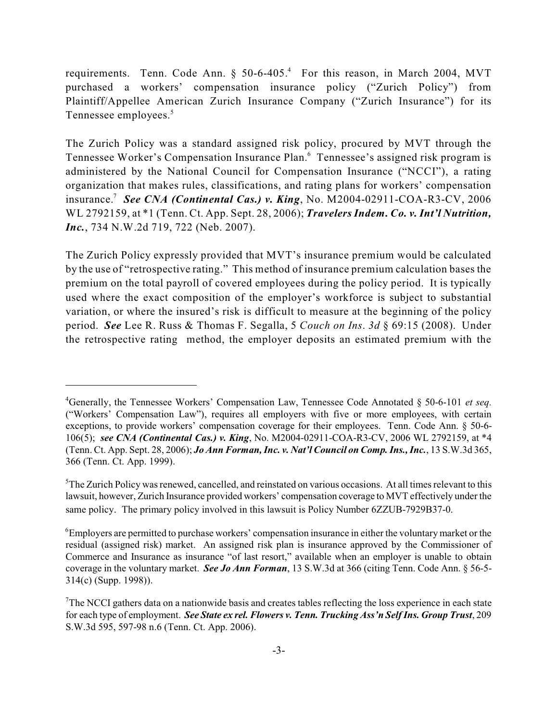requirements. Tenn. Code Ann.  $\S$  50-6-405.<sup>4</sup> For this reason, in March 2004, MVT purchased a workers' compensation insurance policy ("Zurich Policy") from Plaintiff/Appellee American Zurich Insurance Company ("Zurich Insurance") for its Tennessee employees. 5

The Zurich Policy was a standard assigned risk policy, procured by MVT through the Tennessee Worker's Compensation Insurance Plan.<sup>6</sup> Tennessee's assigned risk program is administered by the National Council for Compensation Insurance ("NCCI"), a rating organization that makes rules, classifications, and rating plans for workers' compensation insurance.<sup>7</sup> See CNA (Continental Cas.) v. King, No. M2004-02911-COA-R3-CV, 2006 WL 2792159, at \*1 (Tenn. Ct. App. Sept. 28, 2006); *Travelers Indem. Co. v. Int'l Nutrition, Inc.*, 734 N.W.2d 719, 722 (Neb. 2007).

The Zurich Policy expressly provided that MVT's insurance premium would be calculated by the use of "retrospective rating." This method of insurance premium calculation bases the premium on the total payroll of covered employees during the policy period. It is typically used where the exact composition of the employer's workforce is subject to substantial variation, or where the insured's risk is difficult to measure at the beginning of the policy period. *See* Lee R. Russ & Thomas F. Segalla, 5 *Couch on Ins*. *3d* § 69:15 (2008). Under the retrospective rating method, the employer deposits an estimated premium with the

Generally, the Tennessee Workers' Compensation Law, Tennessee Code Annotated § 50-6-101 *et seq.* 4 ("Workers' Compensation Law"), requires all employers with five or more employees, with certain exceptions, to provide workers' compensation coverage for their employees. Tenn. Code Ann. § 50-6- 106(5); *see CNA (Continental Cas.) v. King*, No. M2004-02911-COA-R3-CV, 2006 WL 2792159, at \*4 (Tenn. Ct. App. Sept. 28, 2006); *Jo Ann Forman, Inc. v. Nat'l Council on Comp. Ins., Inc.*, 13 S.W.3d 365, 366 (Tenn. Ct. App. 1999).

<sup>&</sup>lt;sup>5</sup>The Zurich Policy was renewed, cancelled, and reinstated on various occasions. At all times relevant to this lawsuit, however, Zurich Insurance provided workers' compensation coverage to MVT effectively under the same policy. The primary policy involved in this lawsuit is Policy Number 6ZZUB-7929B37-0.

 ${}^6$ Employers are permitted to purchase workers' compensation insurance in either the voluntary market or the residual (assigned risk) market. An assigned risk plan is insurance approved by the Commissioner of Commerce and Insurance as insurance "of last resort," available when an employer is unable to obtain coverage in the voluntary market. *See Jo Ann Forman*, 13 S.W.3d at 366 (citing Tenn. Code Ann. § 56-5- 314(c) (Supp. 1998)).

 $T$ The NCCI gathers data on a nationwide basis and creates tables reflecting the loss experience in each state for each type of employment. *See State ex rel. Flowers v. Tenn. Trucking Ass'n Self Ins. Group Trust*, 209 S.W.3d 595, 597-98 n.6 (Tenn. Ct. App. 2006).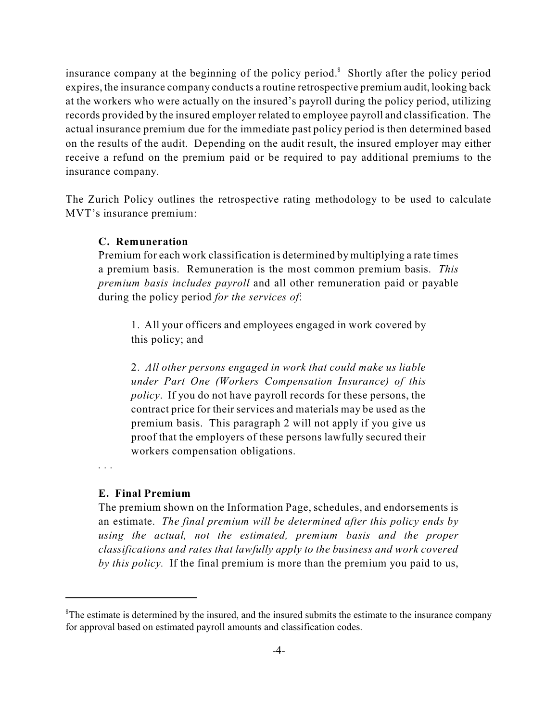insurance company at the beginning of the policy period.<sup>8</sup> Shortly after the policy period expires, the insurance company conducts a routine retrospective premium audit, looking back at the workers who were actually on the insured's payroll during the policy period, utilizing records provided by the insured employer related to employee payroll and classification. The actual insurance premium due for the immediate past policy period is then determined based on the results of the audit. Depending on the audit result, the insured employer may either receive a refund on the premium paid or be required to pay additional premiums to the insurance company.

The Zurich Policy outlines the retrospective rating methodology to be used to calculate MVT's insurance premium:

#### **C. Remuneration**

Premium for each work classification is determined by multiplying a rate times a premium basis. Remuneration is the most common premium basis. *This premium basis includes payroll* and all other remuneration paid or payable during the policy period *for the services of*:

1. All your officers and employees engaged in work covered by this policy; and

2. *All other persons engaged in work that could make us liable under Part One (Workers Compensation Insurance) of this policy*. If you do not have payroll records for these persons, the contract price for their services and materials may be used as the premium basis. This paragraph 2 will not apply if you give us proof that the employers of these persons lawfully secured their workers compensation obligations.

*. . .*

#### **E. Final Premium**

The premium shown on the Information Page, schedules, and endorsements is an estimate. *The final premium will be determined after this policy ends by using the actual, not the estimated, premium basis and the proper classifications and rates that lawfully apply to the business and work covered by this policy.* If the final premium is more than the premium you paid to us,

 ${}^8$ The estimate is determined by the insured, and the insured submits the estimate to the insurance company for approval based on estimated payroll amounts and classification codes.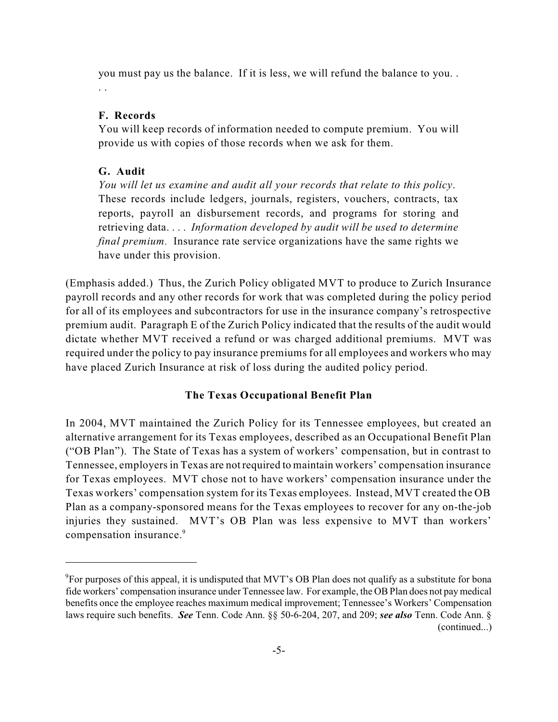you must pay us the balance. If it is less, we will refund the balance to you. . . .

## **F. Records**

You will keep records of information needed to compute premium. You will provide us with copies of those records when we ask for them.

# **G. Audit**

*You will let us examine and audit all your records that relate to this policy*. These records include ledgers, journals, registers, vouchers, contracts, tax reports, payroll an disbursement records, and programs for storing and retrieving data. . . . *Information developed by audit will be used to determine final premium.* Insurance rate service organizations have the same rights we have under this provision.

(Emphasis added.) Thus, the Zurich Policy obligated MVT to produce to Zurich Insurance payroll records and any other records for work that was completed during the policy period for all of its employees and subcontractors for use in the insurance company's retrospective premium audit. Paragraph E of the Zurich Policy indicated that the results of the audit would dictate whether MVT received a refund or was charged additional premiums. MVT was required under the policy to pay insurance premiums for all employees and workers who may have placed Zurich Insurance at risk of loss during the audited policy period.

## **The Texas Occupational Benefit Plan**

In 2004, MVT maintained the Zurich Policy for its Tennessee employees, but created an alternative arrangement for its Texas employees, described as an Occupational Benefit Plan ("OB Plan"). The State of Texas has a system of workers' compensation, but in contrast to Tennessee, employersin Texas are not required to maintain workers' compensation insurance for Texas employees. MVT chose not to have workers' compensation insurance under the Texas workers' compensation system for its Texas employees. Instead, MVT created the OB Plan as a company-sponsored means for the Texas employees to recover for any on-the-job injuries they sustained. MVT's OB Plan was less expensive to MVT than workers' compensation insurance. 9

<sup>&</sup>lt;sup>9</sup> For purposes of this appeal, it is undisputed that MVT's OB Plan does not qualify as a substitute for bona fide workers' compensation insurance under Tennessee law. For example, the OB Plan does not pay medical benefits once the employee reaches maximum medical improvement; Tennessee's Workers' Compensation laws require such benefits. *See* Tenn. Code Ann. §§ 50-6-204, 207, and 209; *see also* Tenn. Code Ann. § (continued...)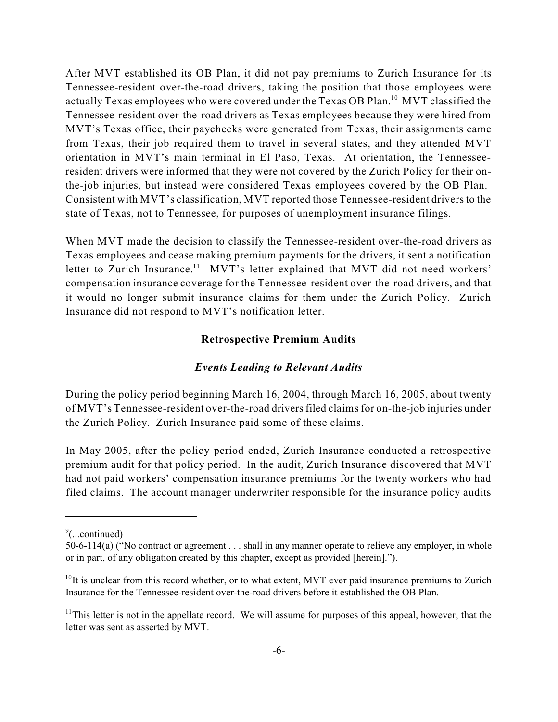After MVT established its OB Plan, it did not pay premiums to Zurich Insurance for its Tennessee-resident over-the-road drivers, taking the position that those employees were actually Texas employees who were covered under the Texas OB Plan. $^{10}$  MVT classified the Tennessee-resident over-the-road drivers as Texas employees because they were hired from MVT's Texas office, their paychecks were generated from Texas, their assignments came from Texas, their job required them to travel in several states, and they attended MVT orientation in MVT's main terminal in El Paso, Texas. At orientation, the Tennesseeresident drivers were informed that they were not covered by the Zurich Policy for their onthe-job injuries, but instead were considered Texas employees covered by the OB Plan. Consistent with MVT's classification, MVT reported those Tennessee-resident drivers to the state of Texas, not to Tennessee, for purposes of unemployment insurance filings.

When MVT made the decision to classify the Tennessee-resident over-the-road drivers as Texas employees and cease making premium payments for the drivers, it sent a notification letter to Zurich Insurance.<sup>11</sup> MVT's letter explained that MVT did not need workers' compensation insurance coverage for the Tennessee-resident over-the-road drivers, and that it would no longer submit insurance claims for them under the Zurich Policy. Zurich Insurance did not respond to MVT's notification letter.

#### **Retrospective Premium Audits**

#### *Events Leading to Relevant Audits*

During the policy period beginning March 16, 2004, through March 16, 2005, about twenty of MVT's Tennessee-resident over-the-road driversfiled claimsfor on-the-job injuries under the Zurich Policy. Zurich Insurance paid some of these claims.

In May 2005, after the policy period ended, Zurich Insurance conducted a retrospective premium audit for that policy period. In the audit, Zurich Insurance discovered that MVT had not paid workers' compensation insurance premiums for the twenty workers who had filed claims. The account manager underwriter responsible for the insurance policy audits

 $\degree$ (...continued)

<sup>50-6-114(</sup>a) ("No contract or agreement . . . shall in any manner operate to relieve any employer, in whole or in part, of any obligation created by this chapter, except as provided [herein].").

 $10$ It is unclear from this record whether, or to what extent, MVT ever paid insurance premiums to Zurich Insurance for the Tennessee-resident over-the-road drivers before it established the OB Plan.

 $11$ This letter is not in the appellate record. We will assume for purposes of this appeal, however, that the letter was sent as asserted by MVT.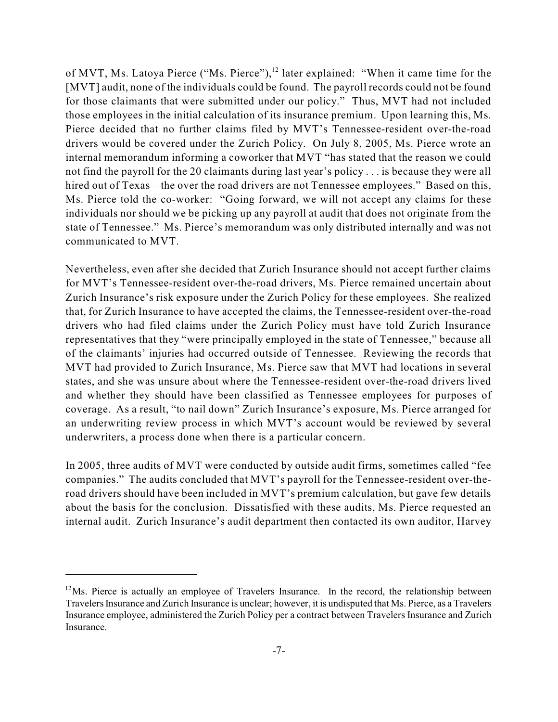of MVT, Ms. Latoya Pierce ("Ms. Pierce"), $^{12}$  later explained: "When it came time for the [MVT] audit, none of the individuals could be found. The payroll records could not be found for those claimants that were submitted under our policy." Thus, MVT had not included those employees in the initial calculation of its insurance premium. Upon learning this, Ms. Pierce decided that no further claims filed by MVT's Tennessee-resident over-the-road drivers would be covered under the Zurich Policy. On July 8, 2005, Ms. Pierce wrote an internal memorandum informing a coworker that MVT "has stated that the reason we could not find the payroll for the 20 claimants during last year's policy . . . is because they were all hired out of Texas – the over the road drivers are not Tennessee employees." Based on this, Ms. Pierce told the co-worker: "Going forward, we will not accept any claims for these individuals nor should we be picking up any payroll at audit that does not originate from the state of Tennessee." Ms. Pierce's memorandum was only distributed internally and was not communicated to MVT.

Nevertheless, even after she decided that Zurich Insurance should not accept further claims for MVT's Tennessee-resident over-the-road drivers, Ms. Pierce remained uncertain about Zurich Insurance's risk exposure under the Zurich Policy for these employees. She realized that, for Zurich Insurance to have accepted the claims, the Tennessee-resident over-the-road drivers who had filed claims under the Zurich Policy must have told Zurich Insurance representatives that they "were principally employed in the state of Tennessee," because all of the claimants' injuries had occurred outside of Tennessee. Reviewing the records that MVT had provided to Zurich Insurance, Ms. Pierce saw that MVT had locations in several states, and she was unsure about where the Tennessee-resident over-the-road drivers lived and whether they should have been classified as Tennessee employees for purposes of coverage. As a result, "to nail down" Zurich Insurance's exposure, Ms. Pierce arranged for an underwriting review process in which MVT's account would be reviewed by several underwriters, a process done when there is a particular concern.

In 2005, three audits of MVT were conducted by outside audit firms, sometimes called "fee companies." The audits concluded that MVT's payroll for the Tennessee-resident over-theroad drivers should have been included in MVT's premium calculation, but gave few details about the basis for the conclusion. Dissatisfied with these audits, Ms. Pierce requested an internal audit. Zurich Insurance's audit department then contacted its own auditor, Harvey

 $12$ Ms. Pierce is actually an employee of Travelers Insurance. In the record, the relationship between Travelers Insurance and Zurich Insurance is unclear; however, it is undisputed that Ms. Pierce, as a Travelers Insurance employee, administered the Zurich Policy per a contract between Travelers Insurance and Zurich Insurance.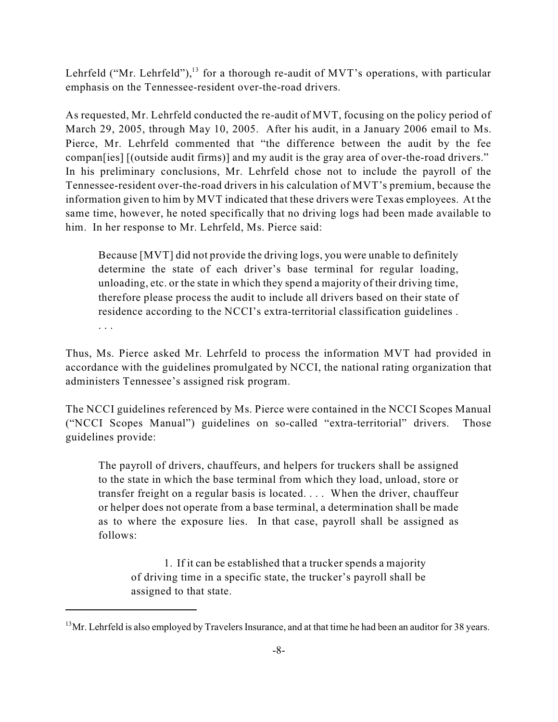Lehrfeld ("Mr. Lehrfeld"), $^{13}$  for a thorough re-audit of MVT's operations, with particular emphasis on the Tennessee-resident over-the-road drivers.

As requested, Mr. Lehrfeld conducted the re-audit of MVT, focusing on the policy period of March 29, 2005, through May 10, 2005. After his audit, in a January 2006 email to Ms. Pierce, Mr. Lehrfeld commented that "the difference between the audit by the fee compan[ies] [(outside audit firms)] and my audit is the gray area of over-the-road drivers." In his preliminary conclusions, Mr. Lehrfeld chose not to include the payroll of the Tennessee-resident over-the-road drivers in his calculation of MVT's premium, because the information given to him by MVT indicated that these drivers were Texas employees. At the same time, however, he noted specifically that no driving logs had been made available to him. In her response to Mr. Lehrfeld, Ms. Pierce said:

Because [MVT] did not provide the driving logs, you were unable to definitely determine the state of each driver's base terminal for regular loading, unloading, etc. or the state in which they spend a majority of their driving time, therefore please process the audit to include all drivers based on their state of residence according to the NCCI's extra-territorial classification guidelines .

. . .

Thus, Ms. Pierce asked Mr. Lehrfeld to process the information MVT had provided in accordance with the guidelines promulgated by NCCI, the national rating organization that administers Tennessee's assigned risk program.

The NCCI guidelines referenced by Ms. Pierce were contained in the NCCI Scopes Manual ("NCCI Scopes Manual") guidelines on so-called "extra-territorial" drivers. Those guidelines provide:

The payroll of drivers, chauffeurs, and helpers for truckers shall be assigned to the state in which the base terminal from which they load, unload, store or transfer freight on a regular basis is located. . . . When the driver, chauffeur or helper does not operate from a base terminal, a determination shall be made as to where the exposure lies. In that case, payroll shall be assigned as follows:

1. If it can be established that a trucker spends a majority of driving time in a specific state, the trucker's payroll shall be assigned to that state.

 $13$ Mr. Lehrfeld is also employed by Travelers Insurance, and at that time he had been an auditor for 38 years.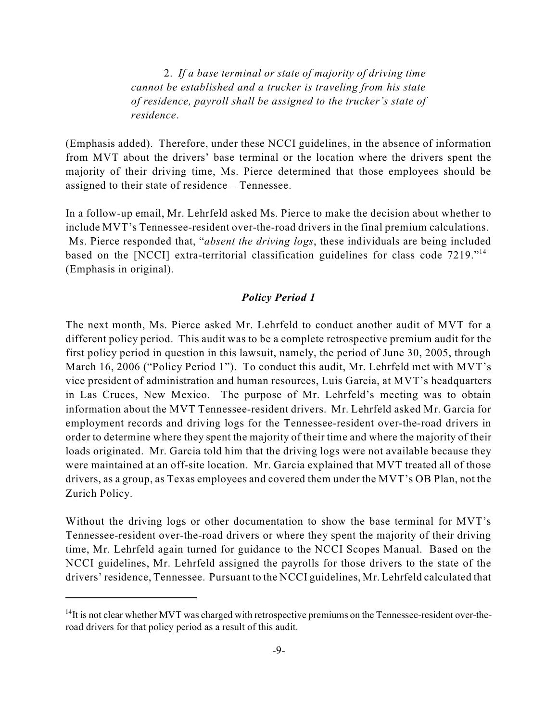2. *If a base terminal or state of majority of driving time cannot be established and a trucker is traveling from his state of residence, payroll shall be assigned to the trucker's state of residence*.

(Emphasis added). Therefore, under these NCCI guidelines, in the absence of information from MVT about the drivers' base terminal or the location where the drivers spent the majority of their driving time, Ms. Pierce determined that those employees should be assigned to their state of residence – Tennessee.

In a follow-up email, Mr. Lehrfeld asked Ms. Pierce to make the decision about whether to include MVT's Tennessee-resident over-the-road drivers in the final premium calculations. Ms. Pierce responded that, "*absent the driving logs*, these individuals are being included based on the [NCCI] extra-territorial classification guidelines for class code 7219."<sup>14</sup> (Emphasis in original).

### *Policy Period 1*

The next month, Ms. Pierce asked Mr. Lehrfeld to conduct another audit of MVT for a different policy period. This audit was to be a complete retrospective premium audit for the first policy period in question in this lawsuit, namely, the period of June 30, 2005, through March 16, 2006 ("Policy Period 1"). To conduct this audit, Mr. Lehrfeld met with MVT's vice president of administration and human resources, Luis Garcia, at MVT's headquarters in Las Cruces, New Mexico. The purpose of Mr. Lehrfeld's meeting was to obtain information about the MVT Tennessee-resident drivers. Mr. Lehrfeld asked Mr. Garcia for employment records and driving logs for the Tennessee-resident over-the-road drivers in order to determine where they spent the majority of their time and where the majority of their loads originated. Mr. Garcia told him that the driving logs were not available because they were maintained at an off-site location. Mr. Garcia explained that MVT treated all of those drivers, as a group, as Texas employees and covered them under the MVT's OB Plan, not the Zurich Policy.

Without the driving logs or other documentation to show the base terminal for MVT's Tennessee-resident over-the-road drivers or where they spent the majority of their driving time, Mr. Lehrfeld again turned for guidance to the NCCI Scopes Manual. Based on the NCCI guidelines, Mr. Lehrfeld assigned the payrolls for those drivers to the state of the drivers' residence, Tennessee. Pursuant to the NCCI guidelines, Mr. Lehrfeld calculated that

 $14$ It is not clear whether MVT was charged with retrospective premiums on the Tennessee-resident over-theroad drivers for that policy period as a result of this audit.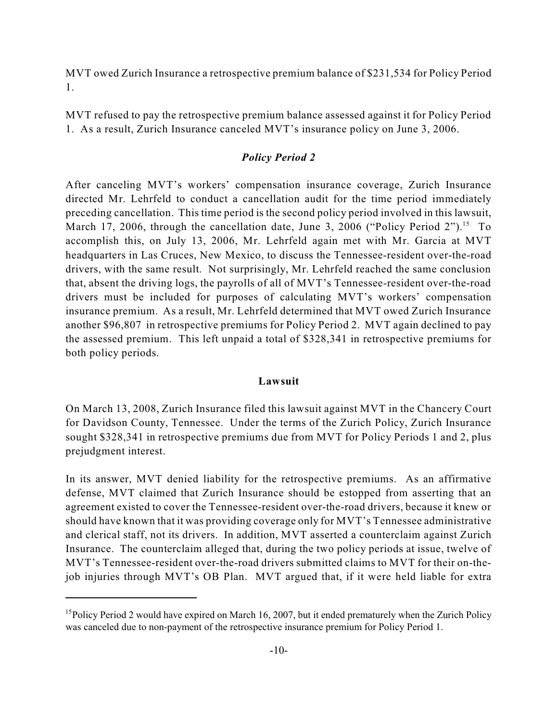MVT owed Zurich Insurance a retrospective premium balance of \$231,534 for Policy Period 1.

MVT refused to pay the retrospective premium balance assessed against it for Policy Period 1. As a result, Zurich Insurance canceled MVT's insurance policy on June 3, 2006.

### *Policy Period 2*

After canceling MVT's workers' compensation insurance coverage, Zurich Insurance directed Mr. Lehrfeld to conduct a cancellation audit for the time period immediately preceding cancellation. This time period is the second policy period involved in this lawsuit, March 17, 2006, through the cancellation date, June 3, 2006 ("Policy Period 2").<sup>15</sup> To accomplish this, on July 13, 2006, Mr. Lehrfeld again met with Mr. Garcia at MVT headquarters in Las Cruces, New Mexico, to discuss the Tennessee-resident over-the-road drivers, with the same result. Not surprisingly, Mr. Lehrfeld reached the same conclusion that, absent the driving logs, the payrolls of all of MVT's Tennessee-resident over-the-road drivers must be included for purposes of calculating MVT's workers' compensation insurance premium. As a result, Mr. Lehrfeld determined that MVT owed Zurich Insurance another \$96,807 in retrospective premiums for Policy Period 2. MVT again declined to pay the assessed premium. This left unpaid a total of \$328,341 in retrospective premiums for both policy periods.

## **Lawsuit**

On March 13, 2008, Zurich Insurance filed this lawsuit against MVT in the Chancery Court for Davidson County, Tennessee. Under the terms of the Zurich Policy, Zurich Insurance sought \$328,341 in retrospective premiums due from MVT for Policy Periods 1 and 2, plus prejudgment interest.

In its answer, MVT denied liability for the retrospective premiums. As an affirmative defense, MVT claimed that Zurich Insurance should be estopped from asserting that an agreement existed to cover the Tennessee-resident over-the-road drivers, because it knew or should have known that it was providing coverage only for MVT's Tennessee administrative and clerical staff, not its drivers. In addition, MVT asserted a counterclaim against Zurich Insurance. The counterclaim alleged that, during the two policy periods at issue, twelve of MVT's Tennessee-resident over-the-road drivers submitted claims to MVT for their on-thejob injuries through MVT's OB Plan. MVT argued that, if it were held liable for extra

<sup>&</sup>lt;sup>15</sup>Policy Period 2 would have expired on March 16, 2007, but it ended prematurely when the Zurich Policy was canceled due to non-payment of the retrospective insurance premium for Policy Period 1.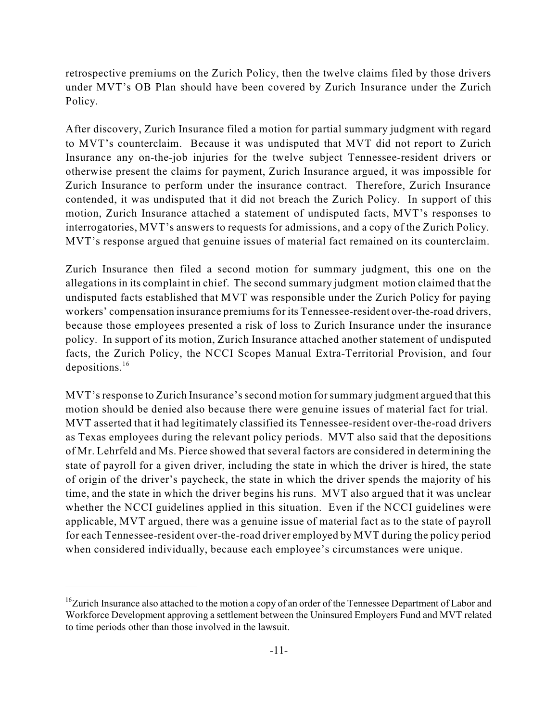retrospective premiums on the Zurich Policy, then the twelve claims filed by those drivers under MVT's OB Plan should have been covered by Zurich Insurance under the Zurich Policy.

After discovery, Zurich Insurance filed a motion for partial summary judgment with regard to MVT's counterclaim. Because it was undisputed that MVT did not report to Zurich Insurance any on-the-job injuries for the twelve subject Tennessee-resident drivers or otherwise present the claims for payment, Zurich Insurance argued, it was impossible for Zurich Insurance to perform under the insurance contract. Therefore, Zurich Insurance contended, it was undisputed that it did not breach the Zurich Policy. In support of this motion, Zurich Insurance attached a statement of undisputed facts, MVT's responses to interrogatories, MVT's answers to requests for admissions, and a copy of the Zurich Policy. MVT's response argued that genuine issues of material fact remained on its counterclaim.

Zurich Insurance then filed a second motion for summary judgment, this one on the allegations in its complaint in chief. The second summary judgment motion claimed that the undisputed facts established that MVT was responsible under the Zurich Policy for paying workers' compensation insurance premiums for its Tennessee-resident over-the-road drivers, because those employees presented a risk of loss to Zurich Insurance under the insurance policy. In support of its motion, Zurich Insurance attached another statement of undisputed facts, the Zurich Policy, the NCCI Scopes Manual Extra-Territorial Provision, and four depositions. 16

MVT'sresponse to Zurich Insurance'ssecond motion forsummary judgment argued that this motion should be denied also because there were genuine issues of material fact for trial. MVT asserted that it had legitimately classified its Tennessee-resident over-the-road drivers as Texas employees during the relevant policy periods. MVT also said that the depositions of Mr. Lehrfeld and Ms. Pierce showed that several factors are considered in determining the state of payroll for a given driver, including the state in which the driver is hired, the state of origin of the driver's paycheck, the state in which the driver spends the majority of his time, and the state in which the driver begins his runs. MVT also argued that it was unclear whether the NCCI guidelines applied in this situation. Even if the NCCI guidelines were applicable, MVT argued, there was a genuine issue of material fact as to the state of payroll for each Tennessee-resident over-the-road driver employed by MVT during the policy period when considered individually, because each employee's circumstances were unique.

<sup>&</sup>lt;sup>16</sup>Zurich Insurance also attached to the motion a copy of an order of the Tennessee Department of Labor and Workforce Development approving a settlement between the Uninsured Employers Fund and MVT related to time periods other than those involved in the lawsuit.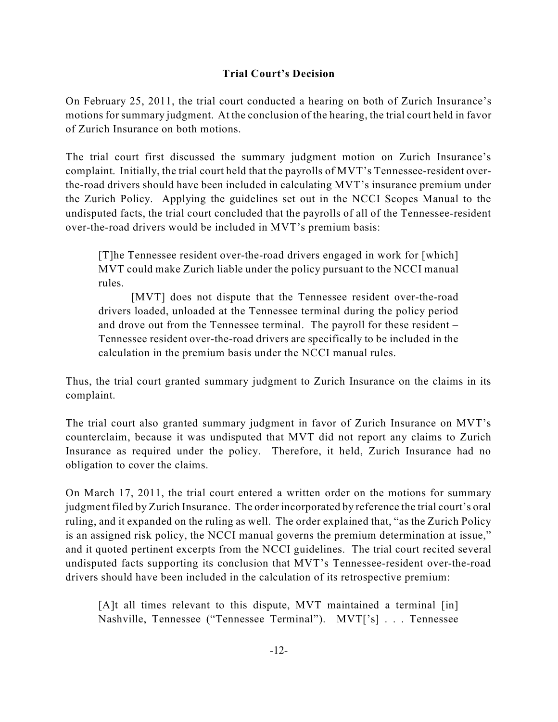# **Trial Court's Decision**

On February 25, 2011, the trial court conducted a hearing on both of Zurich Insurance's motions for summary judgment. At the conclusion of the hearing, the trial court held in favor of Zurich Insurance on both motions.

The trial court first discussed the summary judgment motion on Zurich Insurance's complaint. Initially, the trial court held that the payrolls of MVT's Tennessee-resident overthe-road drivers should have been included in calculating MVT's insurance premium under the Zurich Policy. Applying the guidelines set out in the NCCI Scopes Manual to the undisputed facts, the trial court concluded that the payrolls of all of the Tennessee-resident over-the-road drivers would be included in MVT's premium basis:

[T]he Tennessee resident over-the-road drivers engaged in work for [which] MVT could make Zurich liable under the policy pursuant to the NCCI manual rules.

[MVT] does not dispute that the Tennessee resident over-the-road drivers loaded, unloaded at the Tennessee terminal during the policy period and drove out from the Tennessee terminal. The payroll for these resident – Tennessee resident over-the-road drivers are specifically to be included in the calculation in the premium basis under the NCCI manual rules.

Thus, the trial court granted summary judgment to Zurich Insurance on the claims in its complaint.

The trial court also granted summary judgment in favor of Zurich Insurance on MVT's counterclaim, because it was undisputed that MVT did not report any claims to Zurich Insurance as required under the policy. Therefore, it held, Zurich Insurance had no obligation to cover the claims.

On March 17, 2011, the trial court entered a written order on the motions for summary judgment filed by Zurich Insurance. The order incorporated by reference the trial court's oral ruling, and it expanded on the ruling as well. The order explained that, "as the Zurich Policy is an assigned risk policy, the NCCI manual governs the premium determination at issue," and it quoted pertinent excerpts from the NCCI guidelines. The trial court recited several undisputed facts supporting its conclusion that MVT's Tennessee-resident over-the-road drivers should have been included in the calculation of its retrospective premium:

[A]t all times relevant to this dispute, MVT maintained a terminal [in] Nashville, Tennessee ("Tennessee Terminal"). MVT['s] . . . Tennessee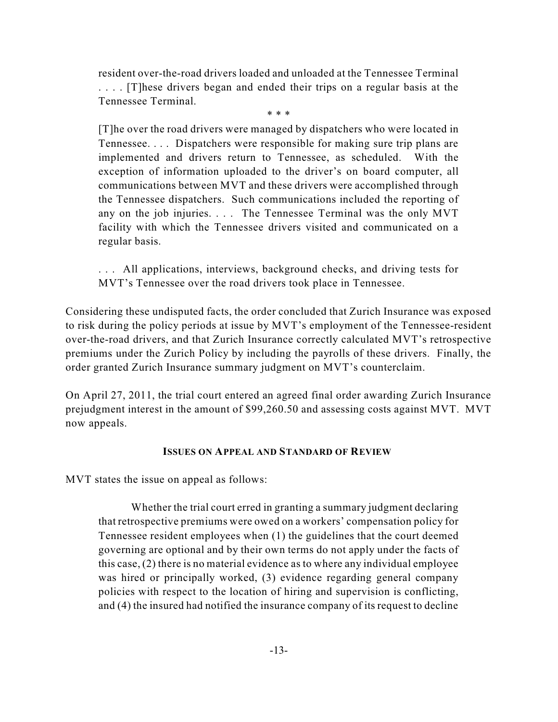resident over-the-road drivers loaded and unloaded at the Tennessee Terminal . . . . [T]hese drivers began and ended their trips on a regular basis at the Tennessee Terminal.

\* \* \*

[T]he over the road drivers were managed by dispatchers who were located in Tennessee. . . . Dispatchers were responsible for making sure trip plans are implemented and drivers return to Tennessee, as scheduled. With the exception of information uploaded to the driver's on board computer, all communications between MVT and these drivers were accomplished through the Tennessee dispatchers. Such communications included the reporting of any on the job injuries. . . . The Tennessee Terminal was the only MVT facility with which the Tennessee drivers visited and communicated on a regular basis.

. . . All applications, interviews, background checks, and driving tests for MVT's Tennessee over the road drivers took place in Tennessee.

Considering these undisputed facts, the order concluded that Zurich Insurance was exposed to risk during the policy periods at issue by MVT's employment of the Tennessee-resident over-the-road drivers, and that Zurich Insurance correctly calculated MVT's retrospective premiums under the Zurich Policy by including the payrolls of these drivers. Finally, the order granted Zurich Insurance summary judgment on MVT's counterclaim.

On April 27, 2011, the trial court entered an agreed final order awarding Zurich Insurance prejudgment interest in the amount of \$99,260.50 and assessing costs against MVT. MVT now appeals.

## **ISSUES ON APPEAL AND STANDARD OF REVIEW**

MVT states the issue on appeal as follows:

Whether the trial court erred in granting a summary judgment declaring that retrospective premiums were owed on a workers' compensation policy for Tennessee resident employees when (1) the guidelines that the court deemed governing are optional and by their own terms do not apply under the facts of this case, (2) there is no material evidence as to where any individual employee was hired or principally worked, (3) evidence regarding general company policies with respect to the location of hiring and supervision is conflicting, and (4) the insured had notified the insurance company of its request to decline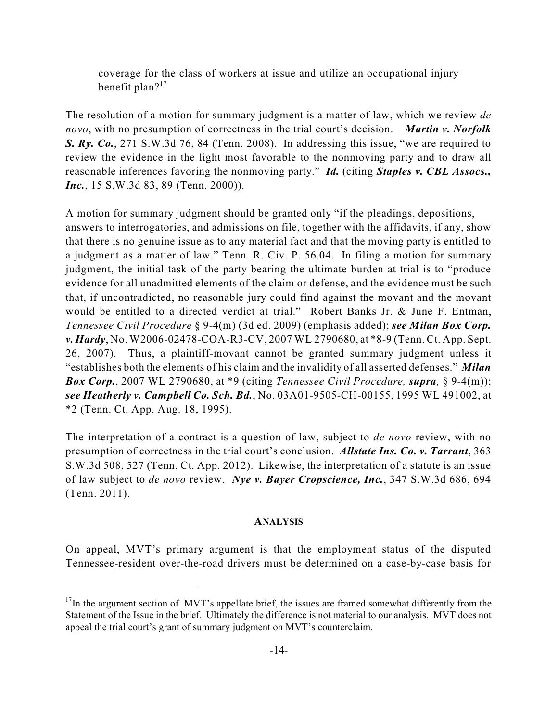coverage for the class of workers at issue and utilize an occupational injury benefit plan?<sup>17</sup>

The resolution of a motion for summary judgment is a matter of law, which we review *de novo*, with no presumption of correctness in the trial court's decision. *Martin v. Norfolk S. Ry. Co.*, 271 S.W.3d 76, 84 (Tenn. 2008). In addressing this issue, "we are required to review the evidence in the light most favorable to the nonmoving party and to draw all reasonable inferences favoring the nonmoving party." *Id.* (citing *Staples v. CBL Assocs., Inc.*, 15 S.W.3d 83, 89 (Tenn. 2000)).

A motion for summary judgment should be granted only "if the pleadings, depositions, answers to interrogatories, and admissions on file, together with the affidavits, if any, show that there is no genuine issue as to any material fact and that the moving party is entitled to a judgment as a matter of law." Tenn. R. Civ. P. 56.04. In filing a motion for summary judgment, the initial task of the party bearing the ultimate burden at trial is to "produce evidence for all unadmitted elements of the claim or defense, and the evidence must be such that, if uncontradicted, no reasonable jury could find against the movant and the movant would be entitled to a directed verdict at trial." Robert Banks Jr. & June F. Entman, *Tennessee Civil Procedure* § 9-4(m) (3d ed. 2009) (emphasis added); *see Milan Box Corp. v. Hardy*, No. W2006-02478-COA-R3-CV, 2007 WL 2790680, at \*8-9 (Tenn. Ct. App. Sept. 26, 2007). Thus, a plaintiff-movant cannot be granted summary judgment unless it "establishes both the elements of his claim and the invalidity of all asserted defenses." *Milan Box Corp.*, 2007 WL 2790680, at \*9 (citing *Tennessee Civil Procedure, supra,* § 9-4(m)); *see Heatherly v. Campbell Co. Sch. Bd.*, No. 03A01-9505-CH-00155, 1995 WL 491002, at \*2 (Tenn. Ct. App. Aug. 18, 1995).

The interpretation of a contract is a question of law, subject to *de novo* review, with no presumption of correctness in the trial court's conclusion. *Allstate Ins. Co. v. Tarrant*, 363 S.W.3d 508, 527 (Tenn. Ct. App. 2012). Likewise, the interpretation of a statute is an issue of law subject to *de novo* review. *Nye v. Bayer Cropscience, Inc.*, 347 S.W.3d 686, 694 (Tenn. 2011).

#### **ANALYSIS**

On appeal, MVT's primary argument is that the employment status of the disputed Tennessee-resident over-the-road drivers must be determined on a case-by-case basis for

 $17$ In the argument section of MVT's appellate brief, the issues are framed somewhat differently from the Statement of the Issue in the brief. Ultimately the difference is not material to our analysis. MVT does not appeal the trial court's grant of summary judgment on MVT's counterclaim.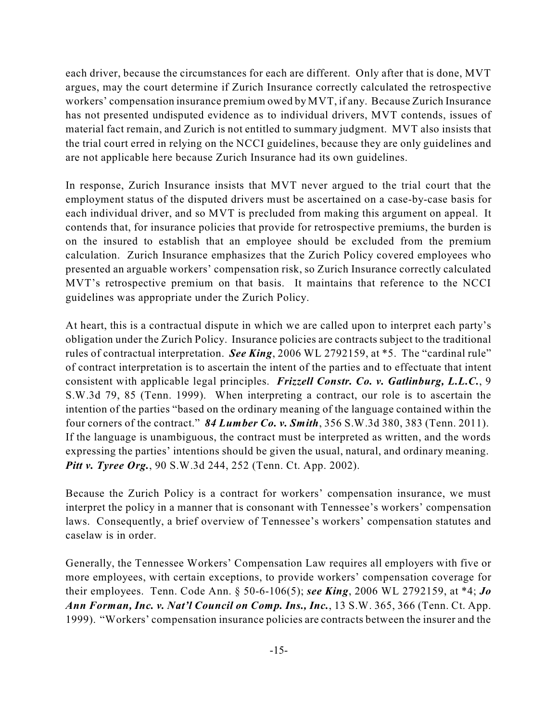each driver, because the circumstances for each are different. Only after that is done, MVT argues, may the court determine if Zurich Insurance correctly calculated the retrospective workers' compensation insurance premium owed by MVT, if any. Because Zurich Insurance has not presented undisputed evidence as to individual drivers, MVT contends, issues of material fact remain, and Zurich is not entitled to summary judgment. MVT also insists that the trial court erred in relying on the NCCI guidelines, because they are only guidelines and are not applicable here because Zurich Insurance had its own guidelines.

In response, Zurich Insurance insists that MVT never argued to the trial court that the employment status of the disputed drivers must be ascertained on a case-by-case basis for each individual driver, and so MVT is precluded from making this argument on appeal. It contends that, for insurance policies that provide for retrospective premiums, the burden is on the insured to establish that an employee should be excluded from the premium calculation. Zurich Insurance emphasizes that the Zurich Policy covered employees who presented an arguable workers' compensation risk, so Zurich Insurance correctly calculated MVT's retrospective premium on that basis. It maintains that reference to the NCCI guidelines was appropriate under the Zurich Policy.

At heart, this is a contractual dispute in which we are called upon to interpret each party's obligation under the Zurich Policy. Insurance policies are contracts subject to the traditional rules of contractual interpretation. *See King*, 2006 WL 2792159, at \*5. The "cardinal rule" of contract interpretation is to ascertain the intent of the parties and to effectuate that intent consistent with applicable legal principles. *Frizzell Constr. Co. v. Gatlinburg, L.L.C.*, 9 S.W.3d 79, 85 (Tenn. 1999). When interpreting a contract, our role is to ascertain the intention of the parties "based on the ordinary meaning of the language contained within the four corners of the contract." *84 Lumber Co. v. Smith*, 356 S.W.3d 380, 383 (Tenn. 2011). If the language is unambiguous, the contract must be interpreted as written, and the words expressing the parties' intentions should be given the usual, natural, and ordinary meaning. *Pitt v. Tyree Org.*, 90 S.W.3d 244, 252 (Tenn. Ct. App. 2002).

Because the Zurich Policy is a contract for workers' compensation insurance, we must interpret the policy in a manner that is consonant with Tennessee's workers' compensation laws. Consequently, a brief overview of Tennessee's workers' compensation statutes and caselaw is in order.

Generally, the Tennessee Workers' Compensation Law requires all employers with five or more employees, with certain exceptions, to provide workers' compensation coverage for their employees. Tenn. Code Ann. § 50-6-106(5); *see King*, 2006 WL 2792159, at \*4; *Jo Ann Forman, Inc. v. Nat'l Council on Comp. Ins., Inc.*, 13 S.W. 365, 366 (Tenn. Ct. App. 1999). "Workers' compensation insurance policies are contracts between the insurer and the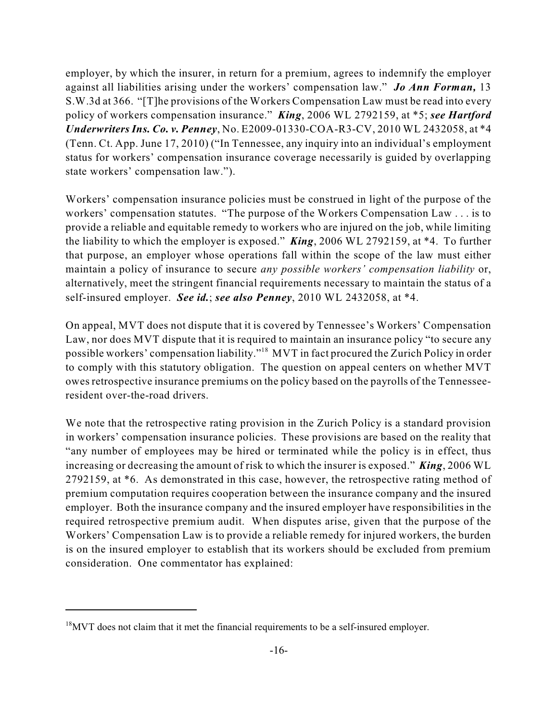employer, by which the insurer, in return for a premium, agrees to indemnify the employer against all liabilities arising under the workers' compensation law." *Jo Ann Forman,* 13 S.W.3d at 366. "[T]he provisions of the Workers Compensation Law must be read into every policy of workers compensation insurance." *King*, 2006 WL 2792159, at \*5; *see Hartford Underwriters Ins. Co. v. Penney*, No. E2009-01330-COA-R3-CV, 2010 WL 2432058, at \*4 (Tenn. Ct. App. June 17, 2010) ("In Tennessee, any inquiry into an individual's employment status for workers' compensation insurance coverage necessarily is guided by overlapping state workers' compensation law.").

Workers' compensation insurance policies must be construed in light of the purpose of the workers' compensation statutes. "The purpose of the Workers Compensation Law . . . is to provide a reliable and equitable remedy to workers who are injured on the job, while limiting the liability to which the employer is exposed." *King*, 2006 WL 2792159, at \*4. To further that purpose, an employer whose operations fall within the scope of the law must either maintain a policy of insurance to secure *any possible workers' compensation liability* or, alternatively, meet the stringent financial requirements necessary to maintain the status of a self-insured employer. *See id.*; *see also Penney*, 2010 WL 2432058, at \*4.

On appeal, MVT does not dispute that it is covered by Tennessee's Workers' Compensation Law, nor does MVT dispute that it is required to maintain an insurance policy "to secure any possible workers' compensation liability."<sup>18</sup> MVT in fact procured the Zurich Policy in order to comply with this statutory obligation. The question on appeal centers on whether MVT owes retrospective insurance premiums on the policy based on the payrolls of the Tennesseeresident over-the-road drivers.

We note that the retrospective rating provision in the Zurich Policy is a standard provision in workers' compensation insurance policies. These provisions are based on the reality that "any number of employees may be hired or terminated while the policy is in effect, thus increasing or decreasing the amount of risk to which the insurer is exposed." *King*, 2006 WL 2792159, at \*6. As demonstrated in this case, however, the retrospective rating method of premium computation requires cooperation between the insurance company and the insured employer. Both the insurance company and the insured employer have responsibilities in the required retrospective premium audit. When disputes arise, given that the purpose of the Workers' Compensation Law is to provide a reliable remedy for injured workers, the burden is on the insured employer to establish that its workers should be excluded from premium consideration. One commentator has explained:

 $18$ MVT does not claim that it met the financial requirements to be a self-insured employer.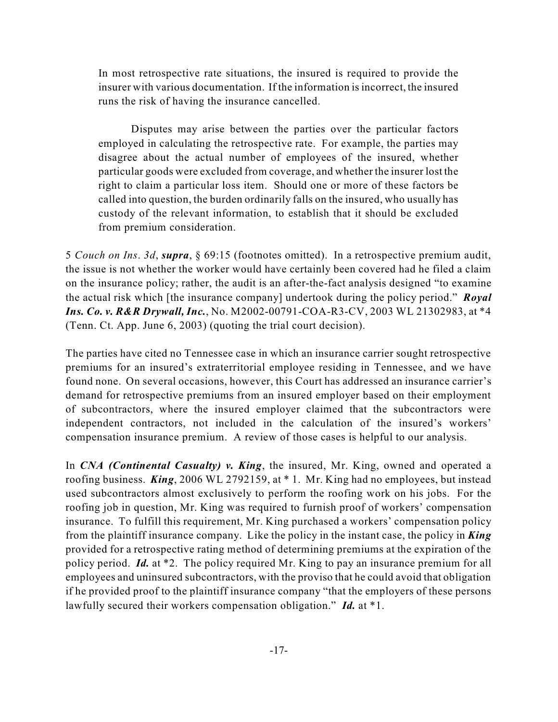In most retrospective rate situations, the insured is required to provide the insurer with various documentation. If the information isincorrect, the insured runs the risk of having the insurance cancelled.

Disputes may arise between the parties over the particular factors employed in calculating the retrospective rate. For example, the parties may disagree about the actual number of employees of the insured, whether particular goods were excluded from coverage, and whether the insurer lost the right to claim a particular loss item. Should one or more of these factors be called into question, the burden ordinarily falls on the insured, who usually has custody of the relevant information, to establish that it should be excluded from premium consideration.

5 *Couch on Ins*. *3d*, *supra*, § 69:15 (footnotes omitted). In a retrospective premium audit, the issue is not whether the worker would have certainly been covered had he filed a claim on the insurance policy; rather, the audit is an after-the-fact analysis designed "to examine the actual risk which [the insurance company] undertook during the policy period." *Royal Ins. Co. v. R&R Drywall, Inc.*, No. M2002-00791-COA-R3-CV, 2003 WL 21302983, at \*4 (Tenn. Ct. App. June 6, 2003) (quoting the trial court decision).

The parties have cited no Tennessee case in which an insurance carrier sought retrospective premiums for an insured's extraterritorial employee residing in Tennessee, and we have found none. On several occasions, however, this Court has addressed an insurance carrier's demand for retrospective premiums from an insured employer based on their employment of subcontractors, where the insured employer claimed that the subcontractors were independent contractors, not included in the calculation of the insured's workers' compensation insurance premium. A review of those cases is helpful to our analysis.

In *CNA (Continental Casualty) v. King*, the insured, Mr. King, owned and operated a roofing business. *King*, 2006 WL 2792159, at \* 1. Mr. King had no employees, but instead used subcontractors almost exclusively to perform the roofing work on his jobs. For the roofing job in question, Mr. King was required to furnish proof of workers' compensation insurance. To fulfill this requirement, Mr. King purchased a workers' compensation policy from the plaintiff insurance company. Like the policy in the instant case, the policy in *King* provided for a retrospective rating method of determining premiums at the expiration of the policy period. *Id.* at \*2. The policy required Mr. King to pay an insurance premium for all employees and uninsured subcontractors, with the proviso that he could avoid that obligation if he provided proof to the plaintiff insurance company "that the employers of these persons lawfully secured their workers compensation obligation." *Id.* at \*1.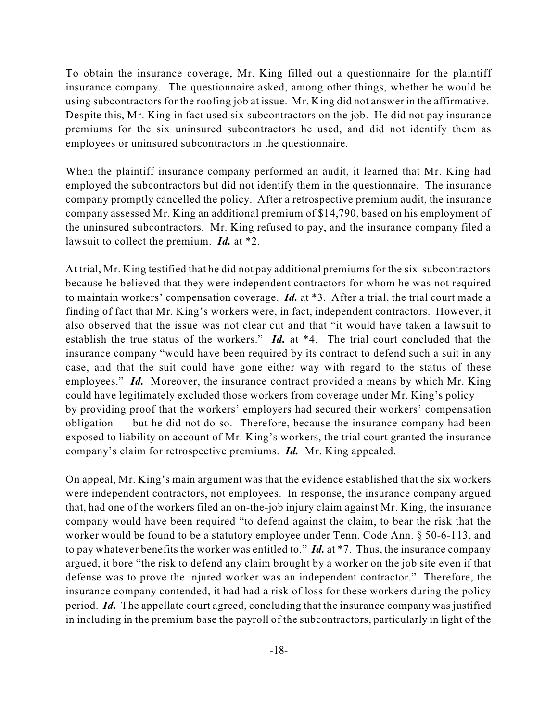To obtain the insurance coverage, Mr. King filled out a questionnaire for the plaintiff insurance company. The questionnaire asked, among other things, whether he would be using subcontractors for the roofing job at issue. Mr. King did not answer in the affirmative. Despite this, Mr. King in fact used six subcontractors on the job. He did not pay insurance premiums for the six uninsured subcontractors he used, and did not identify them as employees or uninsured subcontractors in the questionnaire.

When the plaintiff insurance company performed an audit, it learned that Mr. King had employed the subcontractors but did not identify them in the questionnaire. The insurance company promptly cancelled the policy. After a retrospective premium audit, the insurance company assessed Mr. King an additional premium of \$14,790, based on his employment of the uninsured subcontractors. Mr. King refused to pay, and the insurance company filed a lawsuit to collect the premium. *Id.* at \*2.

At trial, Mr. King testified that he did not pay additional premiums for the six subcontractors because he believed that they were independent contractors for whom he was not required to maintain workers' compensation coverage. *Id.* at \*3. After a trial, the trial court made a finding of fact that Mr. King's workers were, in fact, independent contractors. However, it also observed that the issue was not clear cut and that "it would have taken a lawsuit to establish the true status of the workers." *Id.* at \*4. The trial court concluded that the insurance company "would have been required by its contract to defend such a suit in any case, and that the suit could have gone either way with regard to the status of these employees." *Id.* Moreover, the insurance contract provided a means by which Mr. King could have legitimately excluded those workers from coverage under Mr. King's policy by providing proof that the workers' employers had secured their workers' compensation obligation — but he did not do so. Therefore, because the insurance company had been exposed to liability on account of Mr. King's workers, the trial court granted the insurance company's claim for retrospective premiums. *Id.* Mr. King appealed.

On appeal, Mr. King's main argument was that the evidence established that the six workers were independent contractors, not employees. In response, the insurance company argued that, had one of the workers filed an on-the-job injury claim against Mr. King, the insurance company would have been required "to defend against the claim, to bear the risk that the worker would be found to be a statutory employee under Tenn. Code Ann. § 50-6-113, and to pay whatever benefits the worker was entitled to." *Id.* at \*7. Thus, the insurance company argued, it bore "the risk to defend any claim brought by a worker on the job site even if that defense was to prove the injured worker was an independent contractor." Therefore, the insurance company contended, it had had a risk of loss for these workers during the policy period. *Id.* The appellate court agreed, concluding that the insurance company was justified in including in the premium base the payroll of the subcontractors, particularly in light of the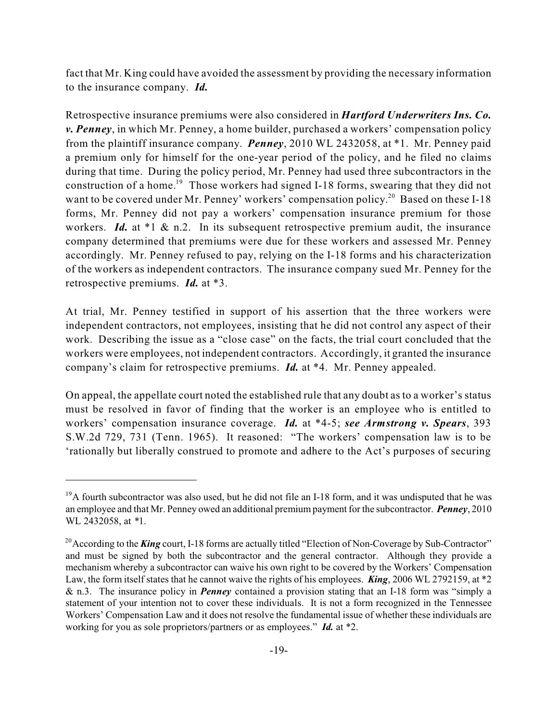fact that Mr. King could have avoided the assessment by providing the necessary information to the insurance company. *Id.*

Retrospective insurance premiums were also considered in *Hartford Underwriters Ins. Co. v. Penney*, in which Mr. Penney, a home builder, purchased a workers' compensation policy from the plaintiff insurance company. *Penney*, 2010 WL 2432058, at \*1. Mr. Penney paid a premium only for himself for the one-year period of the policy, and he filed no claims during that time. During the policy period, Mr. Penney had used three subcontractors in the construction of a home.<sup>19</sup> Those workers had signed I-18 forms, swearing that they did not want to be covered under Mr. Penney' workers' compensation policy.<sup>20</sup> Based on these I-18 forms, Mr. Penney did not pay a workers' compensation insurance premium for those workers. *Id.* at \*1 & n.2. In its subsequent retrospective premium audit, the insurance company determined that premiums were due for these workers and assessed Mr. Penney accordingly. Mr. Penney refused to pay, relying on the I-18 forms and his characterization of the workers as independent contractors. The insurance company sued Mr. Penney for the retrospective premiums. *Id.* at \*3.

At trial, Mr. Penney testified in support of his assertion that the three workers were independent contractors, not employees, insisting that he did not control any aspect of their work. Describing the issue as a "close case" on the facts, the trial court concluded that the workers were employees, not independent contractors. Accordingly, it granted the insurance company's claim for retrospective premiums. *Id.* at \*4. Mr. Penney appealed.

On appeal, the appellate court noted the established rule that any doubt as to a worker's status must be resolved in favor of finding that the worker is an employee who is entitled to workers' compensation insurance coverage. *Id.* at \*4-5; *see Armstrong v. Spears*, 393 S.W.2d 729, 731 (Tenn. 1965). It reasoned: "The workers' compensation law is to be 'rationally but liberally construed to promote and adhere to the Act's purposes of securing

 $19A$  fourth subcontractor was also used, but he did not file an I-18 form, and it was undisputed that he was an employee and that Mr. Penney owed an additional premium payment for the subcontractor. *Penney*, 2010 WL 2432058, at *\**1.

<sup>&</sup>lt;sup>20</sup> According to the *King* court, I-18 forms are actually titled "Election of Non-Coverage by Sub-Contractor" and must be signed by both the subcontractor and the general contractor. Although they provide a mechanism whereby a subcontractor can waive his own right to be covered by the Workers' Compensation Law, the form itself states that he cannot waive the rights of his employees. *King*, 2006 WL 2792159, at \*2 & n.3. The insurance policy in *Penney* contained a provision stating that an I-18 form was "simply a statement of your intention not to cover these individuals. It is not a form recognized in the Tennessee Workers' Compensation Law and it does not resolve the fundamental issue of whether these individuals are working for you as sole proprietors/partners or as employees." *Id.* at \*2.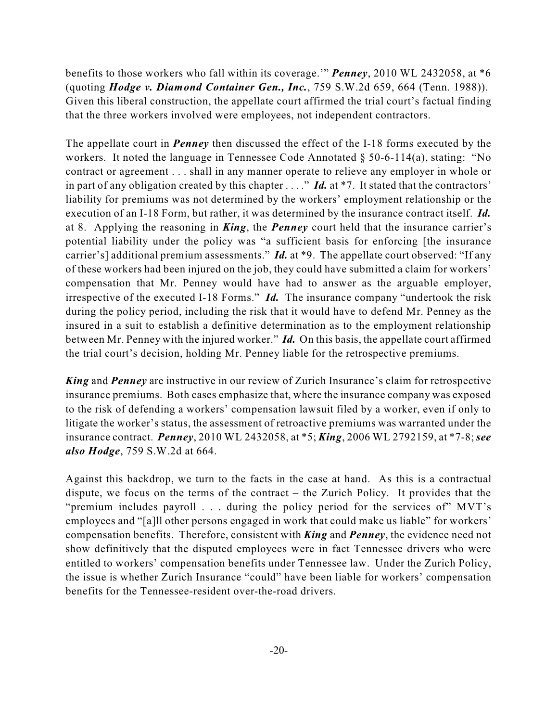benefits to those workers who fall within its coverage.'" *Penney*, 2010 WL 2432058, at \*6 (quoting *Hodge v. Diamond Container Gen., Inc.*, 759 S.W.2d 659, 664 (Tenn. 1988)). Given this liberal construction, the appellate court affirmed the trial court's factual finding that the three workers involved were employees, not independent contractors.

The appellate court in *Penney* then discussed the effect of the I-18 forms executed by the workers. It noted the language in Tennessee Code Annotated § 50-6-114(a), stating: "No contract or agreement . . . shall in any manner operate to relieve any employer in whole or in part of any obligation created by this chapter . . . ." *Id.* at \*7. It stated that the contractors' liability for premiums was not determined by the workers' employment relationship or the execution of an I-18 Form, but rather, it was determined by the insurance contract itself. *Id.* at 8. Applying the reasoning in *King*, the *Penney* court held that the insurance carrier's potential liability under the policy was "a sufficient basis for enforcing [the insurance carrier's] additional premium assessments." *Id.* at \*9. The appellate court observed: "If any of these workers had been injured on the job, they could have submitted a claim for workers' compensation that Mr. Penney would have had to answer as the arguable employer, irrespective of the executed I-18 Forms." *Id.* The insurance company "undertook the risk during the policy period, including the risk that it would have to defend Mr. Penney as the insured in a suit to establish a definitive determination as to the employment relationship between Mr. Penney with the injured worker." *Id.* On this basis, the appellate court affirmed the trial court's decision, holding Mr. Penney liable for the retrospective premiums.

*King* and *Penney* are instructive in our review of Zurich Insurance's claim for retrospective insurance premiums. Both cases emphasize that, where the insurance company was exposed to the risk of defending a workers' compensation lawsuit filed by a worker, even if only to litigate the worker's status, the assessment of retroactive premiums was warranted under the insurance contract. *Penney*, 2010 WL 2432058, at \*5; *King*, 2006 WL 2792159, at \*7-8; *see also Hodge*, 759 S.W.2d at 664.

Against this backdrop, we turn to the facts in the case at hand. As this is a contractual dispute, we focus on the terms of the contract – the Zurich Policy. It provides that the "premium includes payroll . . . during the policy period for the services of" MVT's employees and "[a]ll other persons engaged in work that could make us liable" for workers' compensation benefits. Therefore, consistent with *King* and *Penney*, the evidence need not show definitively that the disputed employees were in fact Tennessee drivers who were entitled to workers' compensation benefits under Tennessee law. Under the Zurich Policy, the issue is whether Zurich Insurance "could" have been liable for workers' compensation benefits for the Tennessee-resident over-the-road drivers.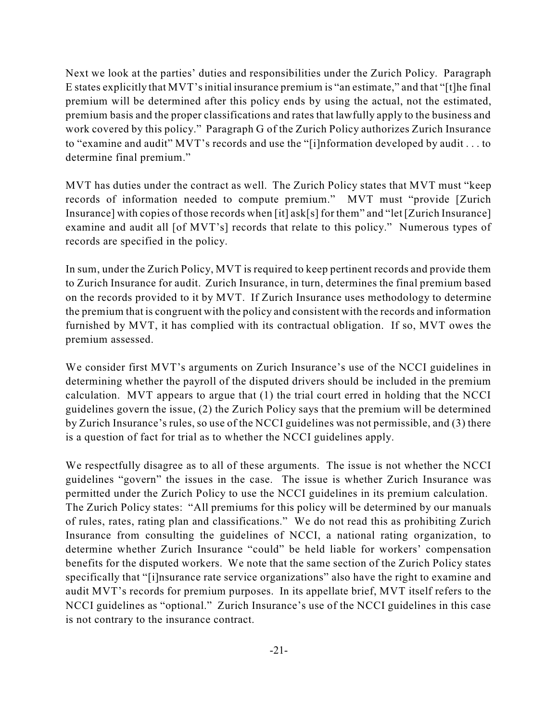Next we look at the parties' duties and responsibilities under the Zurich Policy. Paragraph E states explicitly that MVT'sinitial insurance premium is "an estimate," and that "[t]he final premium will be determined after this policy ends by using the actual, not the estimated, premium basis and the proper classifications and rates that lawfully apply to the business and work covered by this policy." Paragraph G of the Zurich Policy authorizes Zurich Insurance to "examine and audit" MVT's records and use the "[i]nformation developed by audit . . . to determine final premium."

MVT has duties under the contract as well. The Zurich Policy states that MVT must "keep records of information needed to compute premium." MVT must "provide [Zurich Insurance] with copies of those records when [it] ask[s] for them" and "let [Zurich Insurance] examine and audit all [of MVT's] records that relate to this policy." Numerous types of records are specified in the policy.

In sum, under the Zurich Policy, MVT is required to keep pertinent records and provide them to Zurich Insurance for audit. Zurich Insurance, in turn, determines the final premium based on the records provided to it by MVT. If Zurich Insurance uses methodology to determine the premium that is congruent with the policy and consistent with the records and information furnished by MVT, it has complied with its contractual obligation. If so, MVT owes the premium assessed.

We consider first MVT's arguments on Zurich Insurance's use of the NCCI guidelines in determining whether the payroll of the disputed drivers should be included in the premium calculation. MVT appears to argue that (1) the trial court erred in holding that the NCCI guidelines govern the issue, (2) the Zurich Policy says that the premium will be determined by Zurich Insurance's rules, so use of the NCCI guidelines was not permissible, and (3) there is a question of fact for trial as to whether the NCCI guidelines apply.

We respectfully disagree as to all of these arguments. The issue is not whether the NCCI guidelines "govern" the issues in the case. The issue is whether Zurich Insurance was permitted under the Zurich Policy to use the NCCI guidelines in its premium calculation. The Zurich Policy states: "All premiums for this policy will be determined by our manuals of rules, rates, rating plan and classifications." We do not read this as prohibiting Zurich Insurance from consulting the guidelines of NCCI, a national rating organization, to determine whether Zurich Insurance "could" be held liable for workers' compensation benefits for the disputed workers. We note that the same section of the Zurich Policy states specifically that "[i]nsurance rate service organizations" also have the right to examine and audit MVT's records for premium purposes. In its appellate brief, MVT itself refers to the NCCI guidelines as "optional." Zurich Insurance's use of the NCCI guidelines in this case is not contrary to the insurance contract.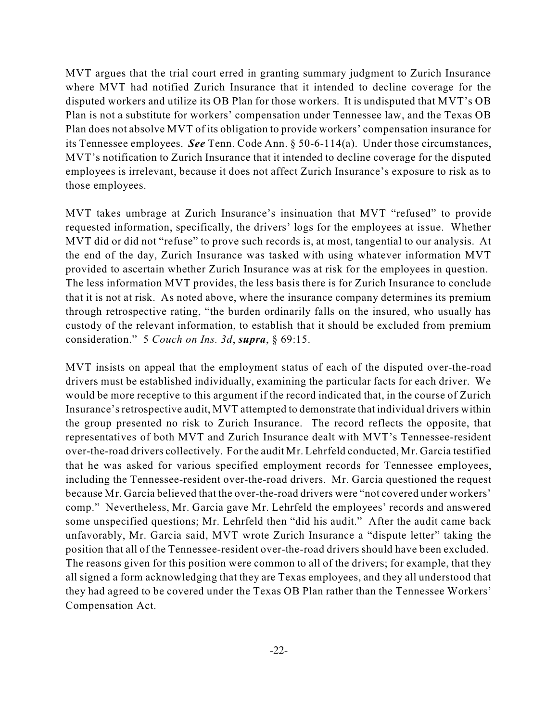MVT argues that the trial court erred in granting summary judgment to Zurich Insurance where MVT had notified Zurich Insurance that it intended to decline coverage for the disputed workers and utilize its OB Plan for those workers. It is undisputed that MVT's OB Plan is not a substitute for workers' compensation under Tennessee law, and the Texas OB Plan does not absolve MVT of its obligation to provide workers' compensation insurance for its Tennessee employees. *See* Tenn. Code Ann. § 50-6-114(a). Under those circumstances, MVT's notification to Zurich Insurance that it intended to decline coverage for the disputed employees is irrelevant, because it does not affect Zurich Insurance's exposure to risk as to those employees.

MVT takes umbrage at Zurich Insurance's insinuation that MVT "refused" to provide requested information, specifically, the drivers' logs for the employees at issue. Whether MVT did or did not "refuse" to prove such records is, at most, tangential to our analysis. At the end of the day, Zurich Insurance was tasked with using whatever information MVT provided to ascertain whether Zurich Insurance was at risk for the employees in question. The less information MVT provides, the less basis there is for Zurich Insurance to conclude that it is not at risk. As noted above, where the insurance company determines its premium through retrospective rating, "the burden ordinarily falls on the insured, who usually has custody of the relevant information, to establish that it should be excluded from premium consideration." 5 *Couch on Ins. 3d*, *supra*, § 69:15.

MVT insists on appeal that the employment status of each of the disputed over-the-road drivers must be established individually, examining the particular facts for each driver. We would be more receptive to this argument if the record indicated that, in the course of Zurich Insurance's retrospective audit, MVT attempted to demonstrate that individual drivers within the group presented no risk to Zurich Insurance. The record reflects the opposite, that representatives of both MVT and Zurich Insurance dealt with MVT's Tennessee-resident over-the-road drivers collectively. For the audit Mr. Lehrfeld conducted, Mr. Garcia testified that he was asked for various specified employment records for Tennessee employees, including the Tennessee-resident over-the-road drivers. Mr. Garcia questioned the request because Mr. Garcia believed that the over-the-road drivers were "not covered under workers' comp." Nevertheless, Mr. Garcia gave Mr. Lehrfeld the employees' records and answered some unspecified questions; Mr. Lehrfeld then "did his audit." After the audit came back unfavorably, Mr. Garcia said, MVT wrote Zurich Insurance a "dispute letter" taking the position that all of the Tennessee-resident over-the-road drivers should have been excluded. The reasons given for this position were common to all of the drivers; for example, that they all signed a form acknowledging that they are Texas employees, and they all understood that they had agreed to be covered under the Texas OB Plan rather than the Tennessee Workers' Compensation Act.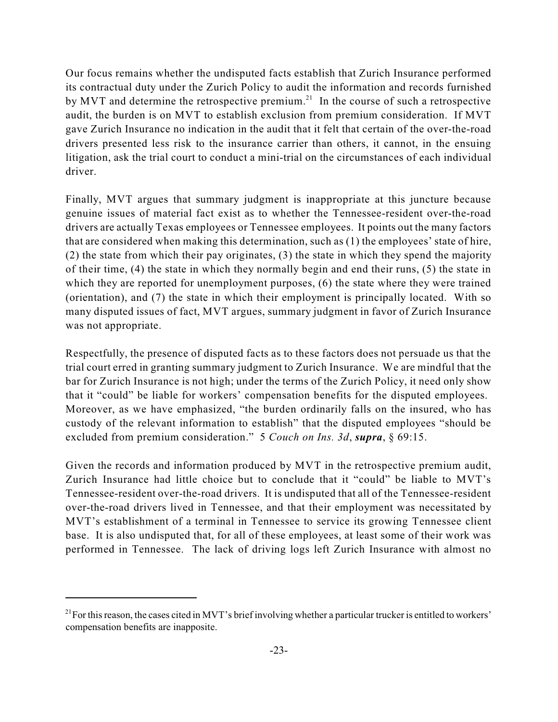Our focus remains whether the undisputed facts establish that Zurich Insurance performed its contractual duty under the Zurich Policy to audit the information and records furnished by MVT and determine the retrospective premium.<sup>21</sup> In the course of such a retrospective audit, the burden is on MVT to establish exclusion from premium consideration. If MVT gave Zurich Insurance no indication in the audit that it felt that certain of the over-the-road drivers presented less risk to the insurance carrier than others, it cannot, in the ensuing litigation, ask the trial court to conduct a mini-trial on the circumstances of each individual driver.

Finally, MVT argues that summary judgment is inappropriate at this juncture because genuine issues of material fact exist as to whether the Tennessee-resident over-the-road drivers are actually Texas employees or Tennessee employees. It points out the many factors that are considered when making this determination, such as (1) the employees' state of hire, (2) the state from which their pay originates, (3) the state in which they spend the majority of their time, (4) the state in which they normally begin and end their runs, (5) the state in which they are reported for unemployment purposes, (6) the state where they were trained (orientation), and (7) the state in which their employment is principally located. With so many disputed issues of fact, MVT argues, summary judgment in favor of Zurich Insurance was not appropriate.

Respectfully, the presence of disputed facts as to these factors does not persuade us that the trial court erred in granting summary judgment to Zurich Insurance. We are mindful that the bar for Zurich Insurance is not high; under the terms of the Zurich Policy, it need only show that it "could" be liable for workers' compensation benefits for the disputed employees. Moreover, as we have emphasized, "the burden ordinarily falls on the insured, who has custody of the relevant information to establish" that the disputed employees "should be excluded from premium consideration." 5 *Couch on Ins. 3d*, *supra*, § 69:15.

Given the records and information produced by MVT in the retrospective premium audit, Zurich Insurance had little choice but to conclude that it "could" be liable to MVT's Tennessee-resident over-the-road drivers. It is undisputed that all of the Tennessee-resident over-the-road drivers lived in Tennessee, and that their employment was necessitated by MVT's establishment of a terminal in Tennessee to service its growing Tennessee client base. It is also undisputed that, for all of these employees, at least some of their work was performed in Tennessee. The lack of driving logs left Zurich Insurance with almost no

 $^{21}$  For this reason, the cases cited in MVT's brief involving whether a particular trucker is entitled to workers' compensation benefits are inapposite.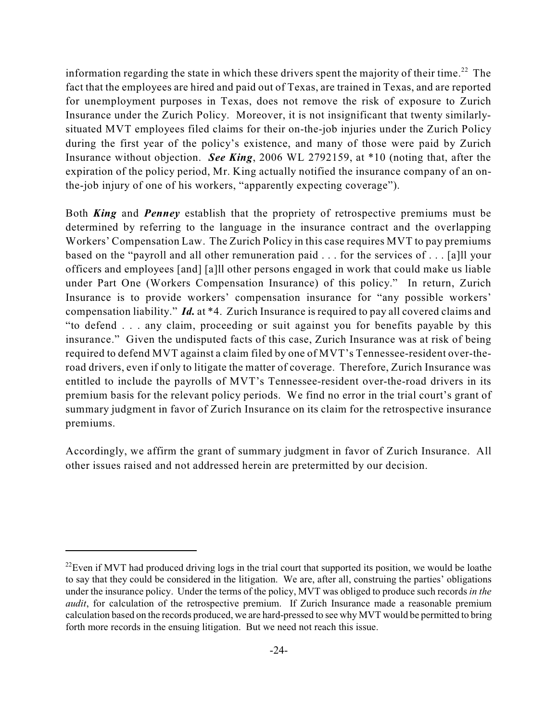information regarding the state in which these drivers spent the majority of their time.<sup>22</sup> The fact that the employees are hired and paid out of Texas, are trained in Texas, and are reported for unemployment purposes in Texas, does not remove the risk of exposure to Zurich Insurance under the Zurich Policy. Moreover, it is not insignificant that twenty similarlysituated MVT employees filed claims for their on-the-job injuries under the Zurich Policy during the first year of the policy's existence, and many of those were paid by Zurich Insurance without objection. *See King*, 2006 WL 2792159, at \*10 (noting that, after the expiration of the policy period, Mr. King actually notified the insurance company of an onthe-job injury of one of his workers, "apparently expecting coverage").

Both *King* and *Penney* establish that the propriety of retrospective premiums must be determined by referring to the language in the insurance contract and the overlapping Workers' Compensation Law. The Zurich Policy in this case requires MVT to pay premiums based on the "payroll and all other remuneration paid . . . for the services of . . . [a]ll your officers and employees [and] [a]ll other persons engaged in work that could make us liable under Part One (Workers Compensation Insurance) of this policy." In return, Zurich Insurance is to provide workers' compensation insurance for "any possible workers' compensation liability." *Id.* at \*4. Zurich Insurance is required to pay all covered claims and "to defend . . . any claim, proceeding or suit against you for benefits payable by this insurance." Given the undisputed facts of this case, Zurich Insurance was at risk of being required to defend MVT against a claim filed by one of MVT's Tennessee-resident over-theroad drivers, even if only to litigate the matter of coverage. Therefore, Zurich Insurance was entitled to include the payrolls of MVT's Tennessee-resident over-the-road drivers in its premium basis for the relevant policy periods. We find no error in the trial court's grant of summary judgment in favor of Zurich Insurance on its claim for the retrospective insurance premiums.

Accordingly, we affirm the grant of summary judgment in favor of Zurich Insurance. All other issues raised and not addressed herein are pretermitted by our decision.

 $^{22}$ Even if MVT had produced driving logs in the trial court that supported its position, we would be loathe to say that they could be considered in the litigation. We are, after all, construing the parties' obligations under the insurance policy. Under the terms of the policy, MVT was obliged to produce such records *in the audit*, for calculation of the retrospective premium. If Zurich Insurance made a reasonable premium calculation based on the records produced, we are hard-pressed to see why MVT would be permitted to bring forth more records in the ensuing litigation. But we need not reach this issue.